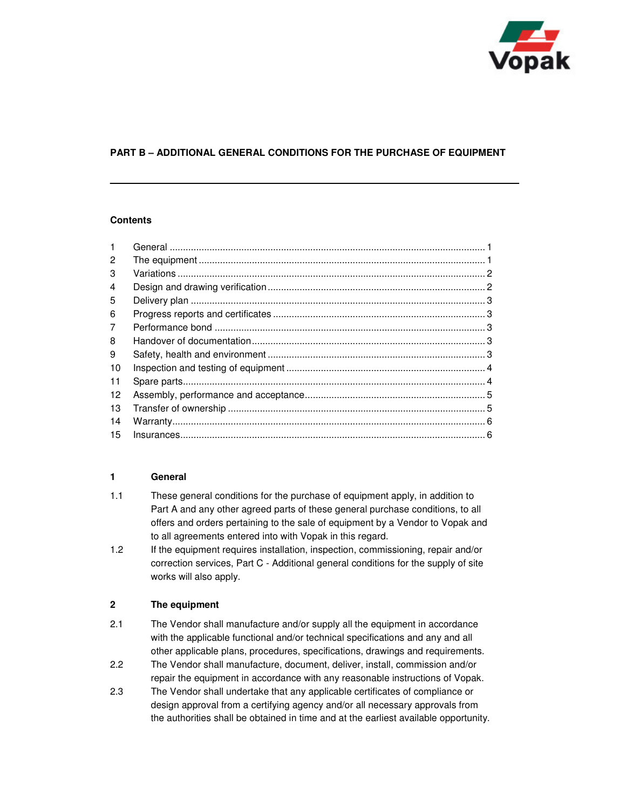

# **PART B – ADDITIONAL GENERAL CONDITIONS FOR THE PURCHASE OF EQUIPMENT**

## **Contents**

| 2  |  |
|----|--|
| 3  |  |
| 4  |  |
| 5  |  |
| 6  |  |
| 7  |  |
| 8  |  |
| 9  |  |
| 10 |  |
| 11 |  |
| 12 |  |
| 13 |  |
| 14 |  |
| 15 |  |
|    |  |

#### **1 General**

- 1.1 These general conditions for the purchase of equipment apply, in addition to Part A and any other agreed parts of these general purchase conditions, to all offers and orders pertaining to the sale of equipment by a Vendor to Vopak and to all agreements entered into with Vopak in this regard.
- 1.2 If the equipment requires installation, inspection, commissioning, repair and/or correction services, Part C - Additional general conditions for the supply of site works will also apply.

#### **2 The equipment**

- 2.1 The Vendor shall manufacture and/or supply all the equipment in accordance with the applicable functional and/or technical specifications and any and all other applicable plans, procedures, specifications, drawings and requirements.
- 2.2 The Vendor shall manufacture, document, deliver, install, commission and/or repair the equipment in accordance with any reasonable instructions of Vopak.
- 2.3 The Vendor shall undertake that any applicable certificates of compliance or design approval from a certifying agency and/or all necessary approvals from the authorities shall be obtained in time and at the earliest available opportunity.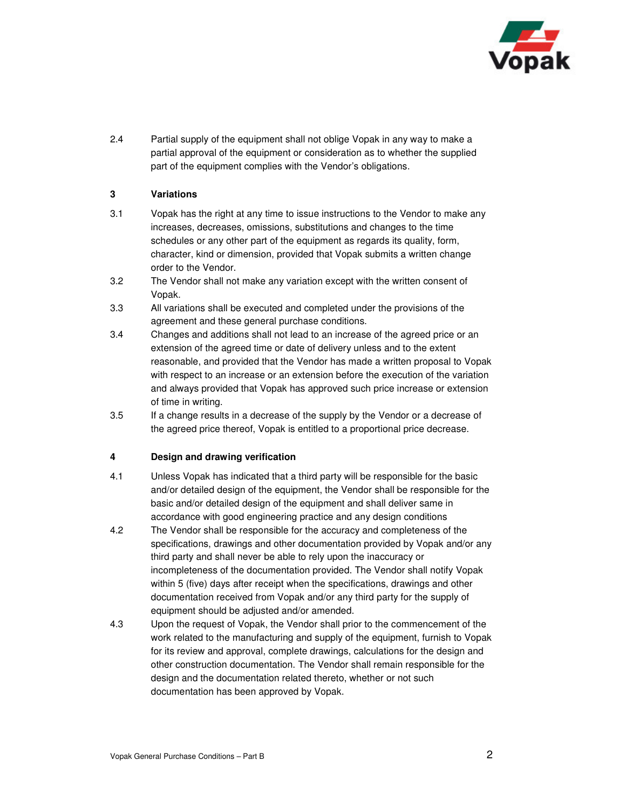

2.4 Partial supply of the equipment shall not oblige Vopak in any way to make a partial approval of the equipment or consideration as to whether the supplied part of the equipment complies with the Vendor's obligations.

#### **3 Variations**

- 3.1 Vopak has the right at any time to issue instructions to the Vendor to make any increases, decreases, omissions, substitutions and changes to the time schedules or any other part of the equipment as regards its quality, form, character, kind or dimension, provided that Vopak submits a written change order to the Vendor.
- 3.2 The Vendor shall not make any variation except with the written consent of Vopak.
- 3.3 All variations shall be executed and completed under the provisions of the agreement and these general purchase conditions.
- 3.4 Changes and additions shall not lead to an increase of the agreed price or an extension of the agreed time or date of delivery unless and to the extent reasonable, and provided that the Vendor has made a written proposal to Vopak with respect to an increase or an extension before the execution of the variation and always provided that Vopak has approved such price increase or extension of time in writing.
- 3.5 If a change results in a decrease of the supply by the Vendor or a decrease of the agreed price thereof, Vopak is entitled to a proportional price decrease.

#### **4 Design and drawing verification**

- 4.1 Unless Vopak has indicated that a third party will be responsible for the basic and/or detailed design of the equipment, the Vendor shall be responsible for the basic and/or detailed design of the equipment and shall deliver same in accordance with good engineering practice and any design conditions
- 4.2 The Vendor shall be responsible for the accuracy and completeness of the specifications, drawings and other documentation provided by Vopak and/or any third party and shall never be able to rely upon the inaccuracy or incompleteness of the documentation provided. The Vendor shall notify Vopak within 5 (five) days after receipt when the specifications, drawings and other documentation received from Vopak and/or any third party for the supply of equipment should be adjusted and/or amended.
- 4.3 Upon the request of Vopak, the Vendor shall prior to the commencement of the work related to the manufacturing and supply of the equipment, furnish to Vopak for its review and approval, complete drawings, calculations for the design and other construction documentation. The Vendor shall remain responsible for the design and the documentation related thereto, whether or not such documentation has been approved by Vopak.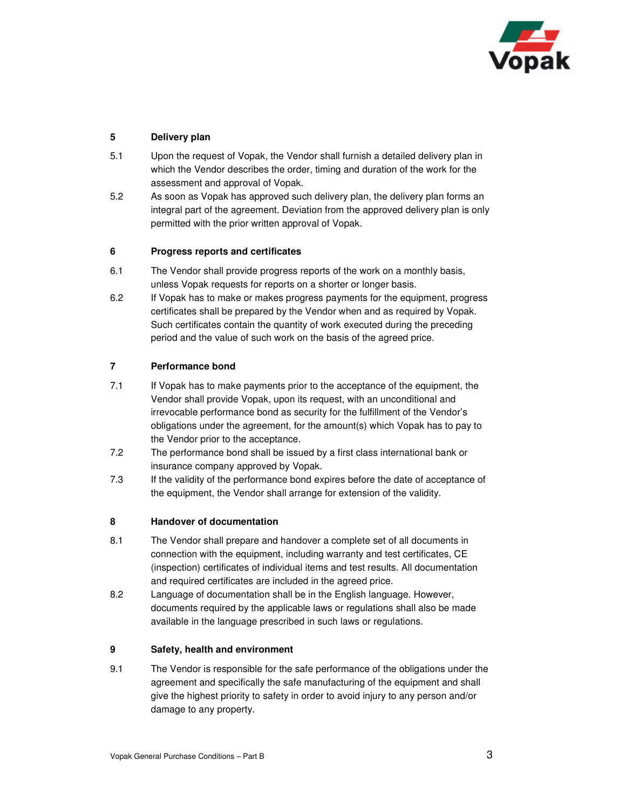

## **5 Delivery plan**

- 5.1 Upon the request of Vopak, the Vendor shall furnish a detailed delivery plan in which the Vendor describes the order, timing and duration of the work for the assessment and approval of Vopak.
- 5.2 As soon as Vopak has approved such delivery plan, the delivery plan forms an integral part of the agreement. Deviation from the approved delivery plan is only permitted with the prior written approval of Vopak.

## **6 Progress reports and certificates**

- 6.1 The Vendor shall provide progress reports of the work on a monthly basis, unless Vopak requests for reports on a shorter or longer basis.
- 6.2 If Vopak has to make or makes progress payments for the equipment, progress certificates shall be prepared by the Vendor when and as required by Vopak. Such certificates contain the quantity of work executed during the preceding period and the value of such work on the basis of the agreed price.

# **7 Performance bond**

- 7.1 If Vopak has to make payments prior to the acceptance of the equipment, the Vendor shall provide Vopak, upon its request, with an unconditional and irrevocable performance bond as security for the fulfillment of the Vendor's obligations under the agreement, for the amount(s) which Vopak has to pay to the Vendor prior to the acceptance.
- 7.2 The performance bond shall be issued by a first class international bank or insurance company approved by Vopak.
- 7.3 If the validity of the performance bond expires before the date of acceptance of the equipment, the Vendor shall arrange for extension of the validity.

#### **8 Handover of documentation**

- 8.1 The Vendor shall prepare and handover a complete set of all documents in connection with the equipment, including warranty and test certificates, CE (inspection) certificates of individual items and test results. All documentation and required certificates are included in the agreed price.
- 8.2 Language of documentation shall be in the English language. However, documents required by the applicable laws or regulations shall also be made available in the language prescribed in such laws or regulations.

#### **9 Safety, health and environment**

9.1 The Vendor is responsible for the safe performance of the obligations under the agreement and specifically the safe manufacturing of the equipment and shall give the highest priority to safety in order to avoid injury to any person and/or damage to any property.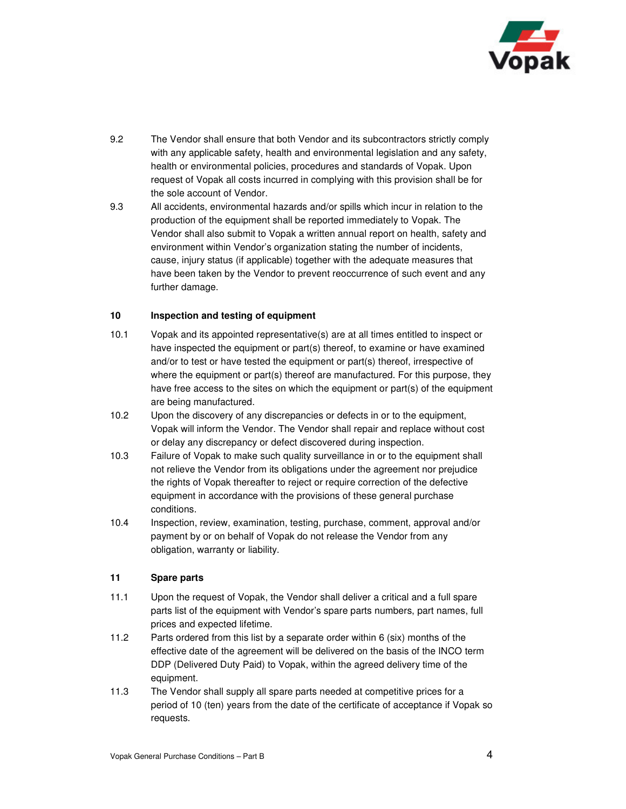

- 9.2 The Vendor shall ensure that both Vendor and its subcontractors strictly comply with any applicable safety, health and environmental legislation and any safety, health or environmental policies, procedures and standards of Vopak. Upon request of Vopak all costs incurred in complying with this provision shall be for the sole account of Vendor.
- 9.3 All accidents, environmental hazards and/or spills which incur in relation to the production of the equipment shall be reported immediately to Vopak. The Vendor shall also submit to Vopak a written annual report on health, safety and environment within Vendor's organization stating the number of incidents, cause, injury status (if applicable) together with the adequate measures that have been taken by the Vendor to prevent reoccurrence of such event and any further damage.

#### **10 Inspection and testing of equipment**

- 10.1 Vopak and its appointed representative(s) are at all times entitled to inspect or have inspected the equipment or part(s) thereof, to examine or have examined and/or to test or have tested the equipment or part(s) thereof, irrespective of where the equipment or part(s) thereof are manufactured. For this purpose, they have free access to the sites on which the equipment or part(s) of the equipment are being manufactured.
- 10.2 Upon the discovery of any discrepancies or defects in or to the equipment, Vopak will inform the Vendor. The Vendor shall repair and replace without cost or delay any discrepancy or defect discovered during inspection.
- 10.3 Failure of Vopak to make such quality surveillance in or to the equipment shall not relieve the Vendor from its obligations under the agreement nor prejudice the rights of Vopak thereafter to reject or require correction of the defective equipment in accordance with the provisions of these general purchase conditions.
- 10.4 Inspection, review, examination, testing, purchase, comment, approval and/or payment by or on behalf of Vopak do not release the Vendor from any obligation, warranty or liability.

# **11 Spare parts**

- 11.1 Upon the request of Vopak, the Vendor shall deliver a critical and a full spare parts list of the equipment with Vendor's spare parts numbers, part names, full prices and expected lifetime.
- 11.2 Parts ordered from this list by a separate order within 6 (six) months of the effective date of the agreement will be delivered on the basis of the INCO term DDP (Delivered Duty Paid) to Vopak, within the agreed delivery time of the equipment.
- 11.3 The Vendor shall supply all spare parts needed at competitive prices for a period of 10 (ten) years from the date of the certificate of acceptance if Vopak so requests.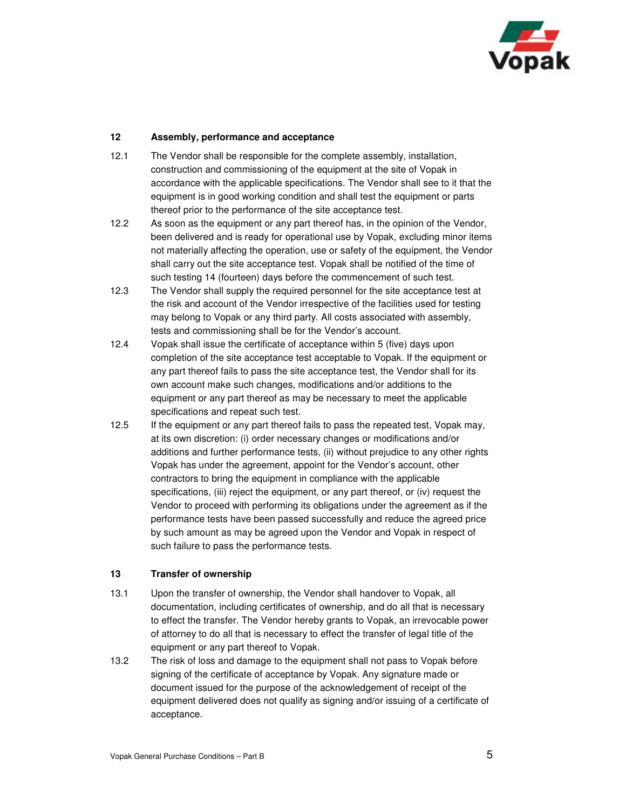

#### **12 Assembly, performance and acceptance**

- 12.1 The Vendor shall be responsible for the complete assembly, installation, construction and commissioning of the equipment at the site of Vopak in accordance with the applicable specifications. The Vendor shall see to it that the equipment is in good working condition and shall test the equipment or parts thereof prior to the performance of the site acceptance test.
- 12.2 As soon as the equipment or any part thereof has, in the opinion of the Vendor, been delivered and is ready for operational use by Vopak, excluding minor items not materially affecting the operation, use or safety of the equipment, the Vendor shall carry out the site acceptance test. Vopak shall be notified of the time of such testing 14 (fourteen) days before the commencement of such test.
- 12.3 The Vendor shall supply the required personnel for the site acceptance test at the risk and account of the Vendor irrespective of the facilities used for testing may belong to Vopak or any third party. All costs associated with assembly, tests and commissioning shall be for the Vendor's account.
- 12.4 Vopak shall issue the certificate of acceptance within 5 (five) days upon completion of the site acceptance test acceptable to Vopak. If the equipment or any part thereof fails to pass the site acceptance test, the Vendor shall for its own account make such changes, modifications and/or additions to the equipment or any part thereof as may be necessary to meet the applicable specifications and repeat such test.
- 12.5 If the equipment or any part thereof fails to pass the repeated test, Vopak may, at its own discretion: (i) order necessary changes or modifications and/or additions and further performance tests, (ii) without prejudice to any other rights Vopak has under the agreement, appoint for the Vendor's account, other contractors to bring the equipment in compliance with the applicable specifications, (iii) reject the equipment, or any part thereof, or (iv) request the Vendor to proceed with performing its obligations under the agreement as if the performance tests have been passed successfully and reduce the agreed price by such amount as may be agreed upon the Vendor and Vopak in respect of such failure to pass the performance tests.

#### **13 Transfer of ownership**

- 13.1 Upon the transfer of ownership, the Vendor shall handover to Vopak, all documentation, including certificates of ownership, and do all that is necessary to effect the transfer. The Vendor hereby grants to Vopak, an irrevocable power of attorney to do all that is necessary to effect the transfer of legal title of the equipment or any part thereof to Vopak.
- 13.2 The risk of loss and damage to the equipment shall not pass to Vopak before signing of the certificate of acceptance by Vopak. Any signature made or document issued for the purpose of the acknowledgement of receipt of the equipment delivered does not qualify as signing and/or issuing of a certificate of acceptance.